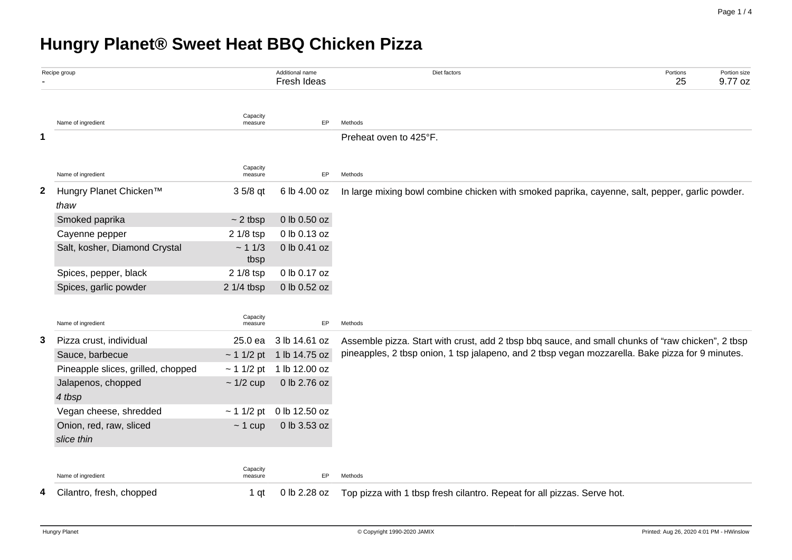# **Hungry Planet® Sweet Heat BBQ Chicken Pizza**

| Recipe group |                                            | Additional name<br>Fresh Ideas | Diet factors                  | Portions<br>25                                                                                                                                                                                        | Portion size<br>9.77 oz |  |  |  |  |  |
|--------------|--------------------------------------------|--------------------------------|-------------------------------|-------------------------------------------------------------------------------------------------------------------------------------------------------------------------------------------------------|-------------------------|--|--|--|--|--|
|              | Name of ingredient                         | Capacity<br>measure            | EP                            | Methods                                                                                                                                                                                               |                         |  |  |  |  |  |
| 1            |                                            |                                |                               | Preheat oven to 425°F.                                                                                                                                                                                |                         |  |  |  |  |  |
|              | Name of ingredient                         | Capacity<br>measure            | EP                            | Methods                                                                                                                                                                                               |                         |  |  |  |  |  |
| $\mathbf{2}$ | Hungry Planet Chicken <sup>™</sup><br>thaw | 3 5/8 qt                       | 6 lb 4.00 oz                  | In large mixing bowl combine chicken with smoked paprika, cayenne, salt, pepper, garlic powder.                                                                                                       |                         |  |  |  |  |  |
|              | Smoked paprika                             | $\sim$ 2 tbsp                  | 0 lb 0.50 oz                  |                                                                                                                                                                                                       |                         |  |  |  |  |  |
|              | Cayenne pepper                             | 2 1/8 tsp                      | 0 lb 0.13 oz                  |                                                                                                                                                                                                       |                         |  |  |  |  |  |
|              | Salt, kosher, Diamond Crystal              | ~11/3<br>tbsp                  | 0 lb 0.41 oz                  |                                                                                                                                                                                                       |                         |  |  |  |  |  |
|              | Spices, pepper, black                      | 2 1/8 tsp                      | 0 lb 0.17 oz                  |                                                                                                                                                                                                       |                         |  |  |  |  |  |
|              | Spices, garlic powder                      | 2 1/4 tbsp                     | 0 lb 0.52 oz                  |                                                                                                                                                                                                       |                         |  |  |  |  |  |
|              | Name of ingredient                         | Capacity<br>measure            | EP                            | Methods                                                                                                                                                                                               |                         |  |  |  |  |  |
| 3.           | Pizza crust, individual                    | 25.0 ea                        | 3 lb 14.61 oz                 | Assemble pizza. Start with crust, add 2 tbsp bbq sauce, and small chunks of "raw chicken", 2 tbsp<br>pineapples, 2 tbsp onion, 1 tsp jalapeno, and 2 tbsp vegan mozzarella. Bake pizza for 9 minutes. |                         |  |  |  |  |  |
|              | Sauce, barbecue                            |                                | $\sim$ 1 1/2 pt 1 lb 14.75 oz |                                                                                                                                                                                                       |                         |  |  |  |  |  |
|              | Pineapple slices, grilled, chopped         | $\sim$ 1 1/2 pt                | 1 lb 12.00 oz                 |                                                                                                                                                                                                       |                         |  |  |  |  |  |
|              | Jalapenos, chopped<br>4 tbsp               | $\sim$ 1/2 cup                 | 0 lb 2.76 oz                  |                                                                                                                                                                                                       |                         |  |  |  |  |  |
|              | Vegan cheese, shredded                     | $\sim$ 1 1/2 pt                | 0 lb 12.50 oz                 |                                                                                                                                                                                                       |                         |  |  |  |  |  |
|              | Onion, red, raw, sliced                    | $~1$ cup                       | 0 lb 3.53 oz                  |                                                                                                                                                                                                       |                         |  |  |  |  |  |
|              | slice thin                                 |                                |                               |                                                                                                                                                                                                       |                         |  |  |  |  |  |
|              | Name of ingredient                         | Capacity<br>measure            | EP                            | Methods                                                                                                                                                                                               |                         |  |  |  |  |  |
| 4            | Cilantro, fresh, chopped                   | 1 qt                           | 0 lb 2.28 oz                  | Top pizza with 1 tbsp fresh cilantro. Repeat for all pizzas. Serve hot.                                                                                                                               |                         |  |  |  |  |  |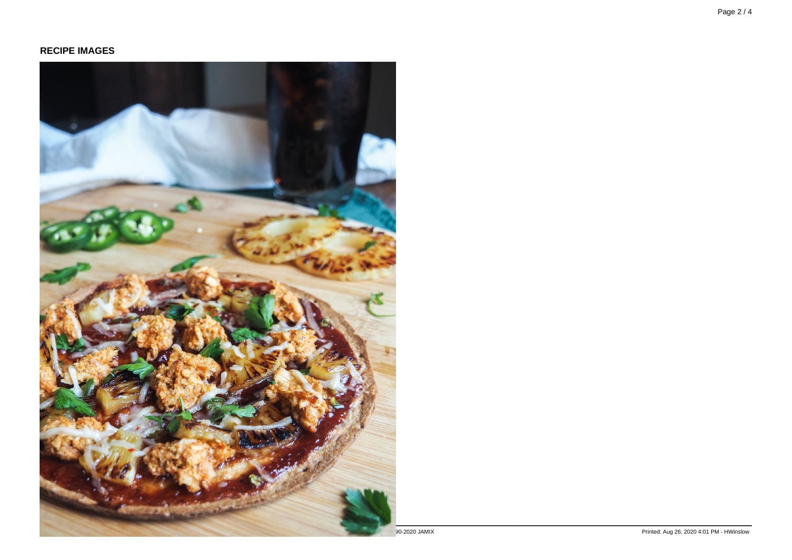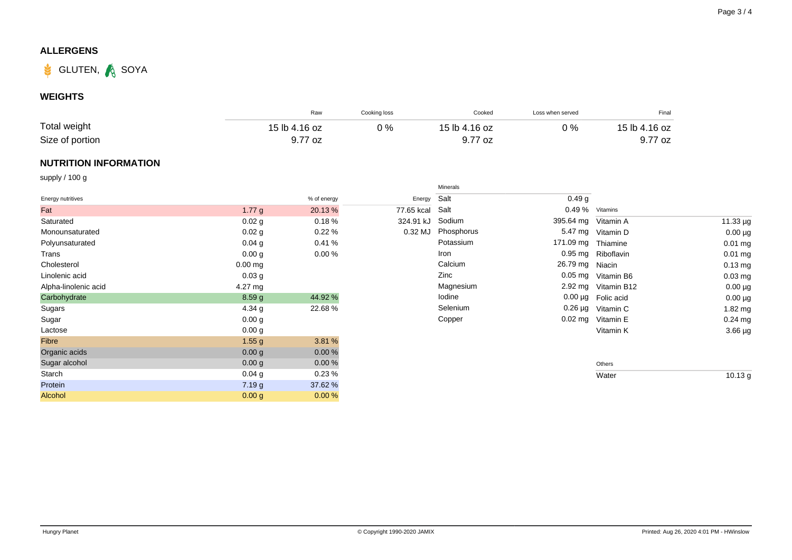## **ALLERGENS**



### **WEIGHTS**

|                 | Raw           | Cooking loss | Cooked        | Loss when served | Final         |
|-----------------|---------------|--------------|---------------|------------------|---------------|
| Total weight    | 15 lb 4.16 oz | 0 %          | 15 lb 4.16 oz | 0 %              | 15 lb 4.16 oz |
| Size of portion | 9.77 oz       |              | 9.77 oz       |                  | 9.77 oz       |

### **NUTRITION INFORMATION**

supply / 100 g

|                      |                   |             |            | Minerals   |                     |                         |              |
|----------------------|-------------------|-------------|------------|------------|---------------------|-------------------------|--------------|
| Energy nutritives    |                   | % of energy | Energy     | Salt       | 0.49 <sub>g</sub>   |                         |              |
| Fat                  | 1.77 $g$          | 20.13%      | 77.65 kcal | Salt       | 0.49 % Vitamins     |                         |              |
| Saturated            | 0.02 g            | 0.18%       | 324.91 kJ  | Sodium     | 395.64 mg Vitamin A |                         | 11.33 µg     |
| Monounsaturated      | $0.02$ g          | 0.22%       | 0.32 MJ    | Phosphorus | 5.47 mg             | Vitamin D               | $0.00 \mu g$ |
| Polyunsaturated      | $0.04$ g          | 0.41%       |            | Potassium  | 171.09 mg           | Thiamine                | $0.01$ mg    |
| Trans                | 0.00 g            | 0.00%       |            | Iron       |                     | 0.95 mg Riboflavin      | $0.01$ mg    |
| Cholesterol          | $0.00$ ma         |             |            | Calcium    | 26.79 mg Niacin     |                         | $0.13$ mg    |
| Linolenic acid       | 0.03 <sub>g</sub> |             |            | Zinc       |                     | 0.05 mg Vitamin B6      | $0.03$ mg    |
| Alpha-linolenic acid | $4.27 \text{ mg}$ |             |            | Magnesium  |                     | 2.92 mg Vitamin B12     | $0.00 \mu g$ |
| Carbohydrate         | 8.59g             | 44.92 %     |            | lodine     |                     | $0.00 \mu g$ Folic acid | $0.00 \mu g$ |
| Sugars               | 4.34 $g$          | 22.68%      |            | Selenium   |                     | 0.26 µg Vitamin C       | $1.82$ mg    |
| Sugar                | 0.00 g            |             |            | Copper     | $0.02$ mg           | Vitamin E               | $0.24$ mg    |
| Lactose              | 0.00 g            |             |            |            |                     | Vitamin K               | $3.66 \mu g$ |
| Fibre                | 1.55 g            | 3.81 %      |            |            |                     |                         |              |
| Organic acids        | 0.00 g            | 0.00%       |            |            |                     |                         |              |
| Sugar alcohol        | 0.00 g            | 0.00%       |            |            |                     | Others                  |              |
| Starch               | $0.04$ g          | 0.23%       |            |            |                     | Water                   | 10.13 g      |
| Protein              | 7.19 g            | 37.62 %     |            |            |                     |                         |              |
| Alcohol              | 0.00 g            | 0.00%       |            |            |                     |                         |              |